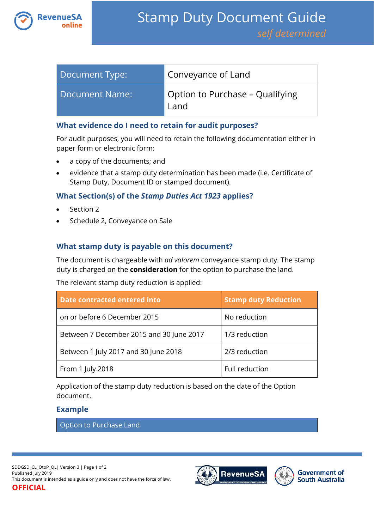

| Document Type:        | Conveyance of Land                      |
|-----------------------|-----------------------------------------|
| <b>Document Name:</b> | Option to Purchase – Qualifying<br>Land |

### **What evidence do I need to retain for audit purposes?**

For audit purposes, you will need to retain the following documentation either in paper form or electronic form:

- a copy of the documents; and
- evidence that a stamp duty determination has been made (i.e. Certificate of Stamp Duty, Document ID or stamped document).

## **What Section(s) of the** *Stamp Duties Act 1923* **applies?**

- Section 2
- Schedule 2, Conveyance on Sale

# **What stamp duty is payable on this document?**

The document is chargeable with *ad valorem* conveyance stamp duty. The stamp duty is charged on the **consideration** for the option to purchase the land.

The relevant stamp duty reduction is applied:

| <b>Date contracted entered into</b>      | <b>Stamp duty Reduction</b> |
|------------------------------------------|-----------------------------|
| on or before 6 December 2015             | No reduction                |
| Between 7 December 2015 and 30 June 2017 | 1/3 reduction               |
| Between 1 July 2017 and 30 June 2018     | 2/3 reduction               |
| From 1 July 2018                         | Full reduction              |

Application of the stamp duty reduction is based on the date of the Option document.

## **Example**

Option to Purchase Land